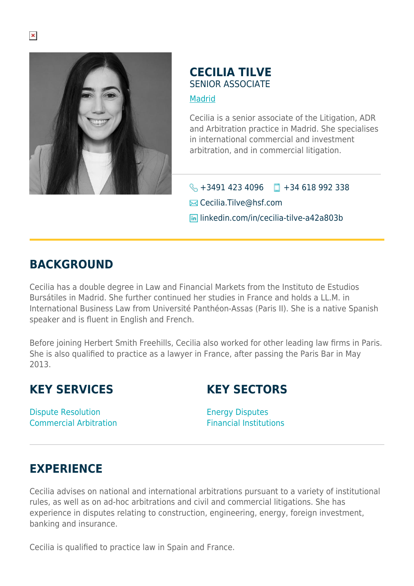

## **CECILIA TILVE** SENIOR ASSOCIATE **[Madrid](https://www.herbertsmithfreehills.com/where-we-work/madrid)**

Cecilia is a senior associate of the Litigation, ADR and Arbitration practice in Madrid. She specialises in international commercial and investment arbitration, and in commercial litigation.

 $\bigotimes$  +3491 423 4096  $\Box$  +34 618 992 338 **Ex** Cecilia.Tilve@hsf.com linkedin.com/in/cecilia-tilve-a42a803b

## **BACKGROUND**

Cecilia has a double degree in Law and Financial Markets from the Instituto de Estudios Bursátiles in Madrid. She further continued her studies in France and holds a LL.M. in International Business Law from Université Panthéon-Assas (Paris II). She is a native Spanish speaker and is fluent in English and French.

Before joining Herbert Smith Freehills, Cecilia also worked for other leading law firms in Paris. She is also qualified to practice as a lawyer in France, after passing the Paris Bar in May 2013.

## **KEY SERVICES**

**KEY SECTORS**

Dispute Resolution Commercial Arbitration Energy Disputes Financial Institutions

## **EXPERIENCE**

Cecilia advises on national and international arbitrations pursuant to a variety of institutional rules, as well as on ad-hoc arbitrations and civil and commercial litigations. She has experience in disputes relating to construction, engineering, energy, foreign investment, banking and insurance.

Cecilia is qualified to practice law in Spain and France.